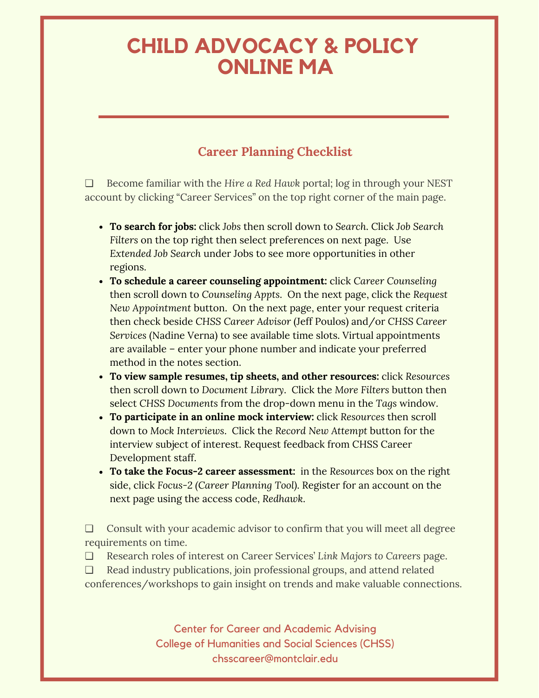# **CHILD ADVOCACY & POLICY ONLINE MA**

# **Career Planning Checklist**

❏ Become familiar with the *Hire a Red Hawk* portal; log in through your NEST account by clicking "Career Services" on the top right corner of the main page.

- **To search for jobs:** click *Jobs* then scroll down to *Search*. Click *Job Search Filters* on the top right then select preferences on next page. Use *Extended Job Search* under Jobs to see more opportunities in other regions.
- **To schedule a career counseling appointment:** click *Career Counseling* then scroll down to *Counseling Appts*. On the next page, click the *Request New Appointment* button. On the next page, enter your request criteria then check beside *CHSS Career Advisor* (Jeff Poulos) and/or *CHSS Career Services* (Nadine Verna) to see available time slots. Virtual appointments are available – enter your phone number and indicate your preferred method in the notes section.
- **To view sample resumes, tip sheets, and other resources:** click *Resources* then scroll down to *Document Library*. Click the *More Filters* button then select *CHSS Documents* from the drop-down menu in the *Tags* window.
- **To participate in an online mock interview:** click *Resources* then scroll down to *Mock Interviews*. Click the *Record New Attempt* button for the interview subject of interest. Request feedback from CHSS Career Development staff.
- **To take the Focus-2 career assessment:** in the *Resources* box on the right side, click *Focus-2 (Career Planning Tool)*. Register for an account on the next page using the access code, *Redhawk*.

❏ Consult with your academic advisor to confirm that you will meet all degree requirements on time.

❏ Research roles of interest on Career Services' *Link Majors to Careers* page.

❏ Read industry publications, join professional groups, and attend related conferences/workshops to gain insight on trends and make valuable connections.

> Center for Career and Academic Advising College of Humanities and Social Sciences (CHSS) chsscareer@montclair.edu